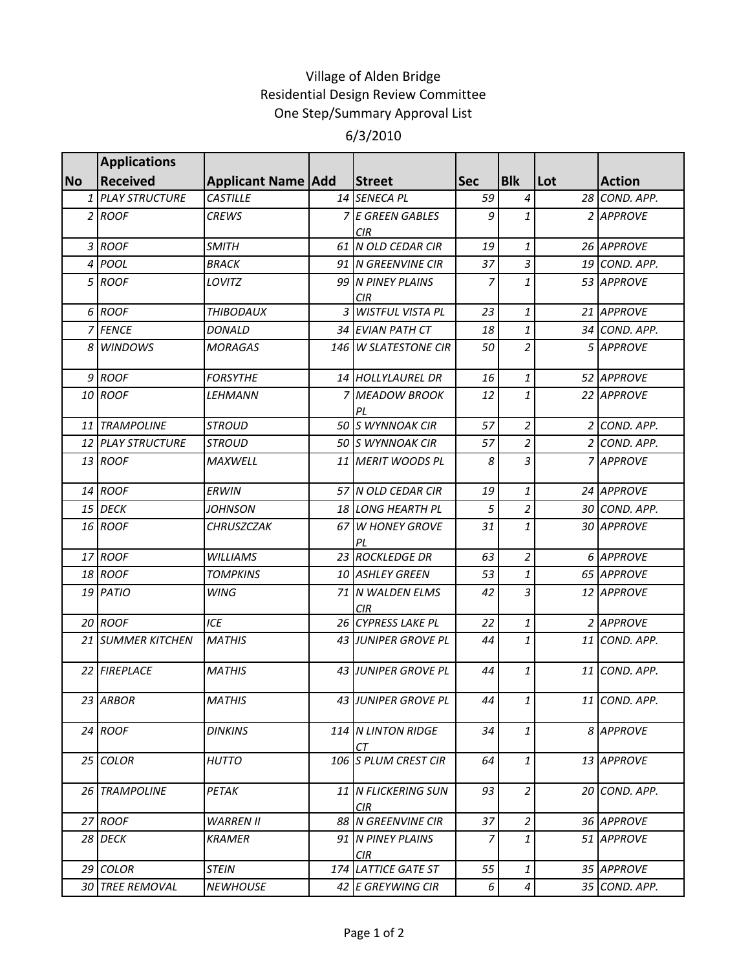## Village of Alden Bridge Residential Design Review Committee One Step/Summary Approval List 6/3/2010

|           | <b>Applications</b> |                             |                             |            |                  |     |               |
|-----------|---------------------|-----------------------------|-----------------------------|------------|------------------|-----|---------------|
| <b>No</b> | <b>Received</b>     | <b>Applicant Name   Add</b> | Street                      | <b>Sec</b> | <b>Blk</b>       | Lot | <b>Action</b> |
|           | 1 PLAY STRUCTURE    | <b>CASTILLE</b>             | 14 SENECA PL                | 59         | 4                |     | 28 COND. APP. |
|           | 2 ROOF              | <b>CREWS</b>                | 7 E GREEN GABLES            | 9          | 1                |     | 2 APPROVE     |
|           |                     |                             | <b>CIR</b>                  |            |                  |     |               |
|           | 3 ROOF              | <b>SMITH</b>                | 61 N OLD CEDAR CIR          | 19         | $\mathbf{1}$     |     | 26 APPROVE    |
| 4         | <b>POOL</b>         | <b>BRACK</b>                | 91 N GREENVINE CIR          | 37         | $\overline{3}$   |     | 19 COND. APP. |
| 5         | <b>ROOF</b>         | LOVITZ                      | 99 N PINEY PLAINS<br>CIR    | 7          | 1                |     | 53 APPROVE    |
|           | 6 ROOF              | <b>THIBODAUX</b>            | 3 WISTFUL VISTA PL          | 23         | 1                |     | 21 APPROVE    |
|           | 7 FENCE             | <b>DONALD</b>               | 34 EVIAN PATH CT            | 18         | $\mathbf{1}$     |     | 34 COND. APP. |
| 8         | <b>WINDOWS</b>      | <b>MORAGAS</b>              | 146 W SLATESTONE CIR        | 50         | $\overline{a}$   |     | 5 APPROVE     |
|           | 9 ROOF              | <b>FORSYTHE</b>             | 14 HOLLYLAUREL DR           | 16         | $\mathbf{1}$     |     | 52 APPROVE    |
|           | 10 ROOF             | <b>LEHMANN</b>              | 7 MEADOW BROOK              | 12         | 1                |     | 22 APPROVE    |
|           | 11 TRAMPOLINE       | <b>STROUD</b>               | PL<br>50 S WYNNOAK CIR      | 57         | $\overline{2}$   |     | 2 COND. APP.  |
|           | 12 PLAY STRUCTURE   |                             |                             | 57         | $\overline{c}$   |     |               |
|           |                     | <b>STROUD</b>               | 50 S WYNNOAK CIR            |            |                  |     | 2 COND. APP.  |
|           | 13 ROOF             | <b>MAXWELL</b>              | 11 MERIT WOODS PL           | 8          | $\overline{3}$   |     | 7 APPROVE     |
|           | 14 ROOF             | <b>ERWIN</b>                | 57 N OLD CEDAR CIR          | 19         | 1                |     | 24 APPROVE    |
|           | 15 DECK             | JOHNSON                     | 18 LONG HEARTH PL           | 5          | $\overline{2}$   |     | 30 COND. APP. |
|           | 16 ROOF             | <b>CHRUSZCZAK</b>           | 67 W HONEY GROVE<br>PL      | 31         | $\mathbf{1}$     |     | 30 APPROVE    |
|           | 17 ROOF             | <b>WILLIAMS</b>             | 23 ROCKLEDGE DR             | 63         | $\overline{2}$   |     | 6 APPROVE     |
|           | <b>18 ROOF</b>      | <b>TOMPKINS</b>             | 10 ASHLEY GREEN             | 53         | $\mathbf{1}$     |     | 65 APPROVE    |
|           | 19 PATIO            | <b>WING</b>                 | 71 N WALDEN ELMS<br>CIR     | 42         | $\overline{3}$   |     | 12 APPROVE    |
|           | 20 ROOF             | ICE                         | 26 CYPRESS LAKE PL          | 22         | $\it 1$          |     | 2 APPROVE     |
|           | 21 SUMMER KITCHEN   | <b>MATHIS</b>               | 43 JUNIPER GROVE PL         | 44         | $\mathbf{1}$     |     | 11 COND. APP. |
|           | 22 FIREPLACE        | <b>MATHIS</b>               | 43 JUNIPER GROVE PL         | 44         | $\mathbf{1}$     |     | 11 COND. APP. |
|           | 23 ARBOR            | <b>MATHIS</b>               | 43 JUNIPER GROVE PL         | 44         | $\mathbf{1}$     |     | 11 COND. APP. |
|           | 24 ROOF             | <b>DINKINS</b>              | 114 N LINTON RIDGE<br>CТ    | 34         | 1                |     | 8 APPROVE     |
|           | 25 COLOR            | <b>HUTTO</b>                | 106 S PLUM CREST CIR        | 64         | 1                |     | 13 APPROVE    |
|           | 26 TRAMPOLINE       | PETAK                       | 11 N FLICKERING SUN<br>CIR. | 93         | 2                |     | 20 COND. APP. |
|           | 27 ROOF             | <b>WARREN II</b>            | 88 N GREENVINE CIR          | 37         | $\overline{2}$   |     | 36 APPROVE    |
|           | 28 DECK             | <b>KRAMER</b>               | 91 N PINEY PLAINS<br>CIR    | 7          | 1                |     | 51 APPROVE    |
|           | 29 COLOR            | <b>STEIN</b>                | 174 LATTICE GATE ST         | 55         | 1                |     | 35 APPROVE    |
|           | 30 TREE REMOVAL     | <b>NEWHOUSE</b>             | 42 E GREYWING CIR           | 6          | $\boldsymbol{4}$ |     | 35 COND. APP. |